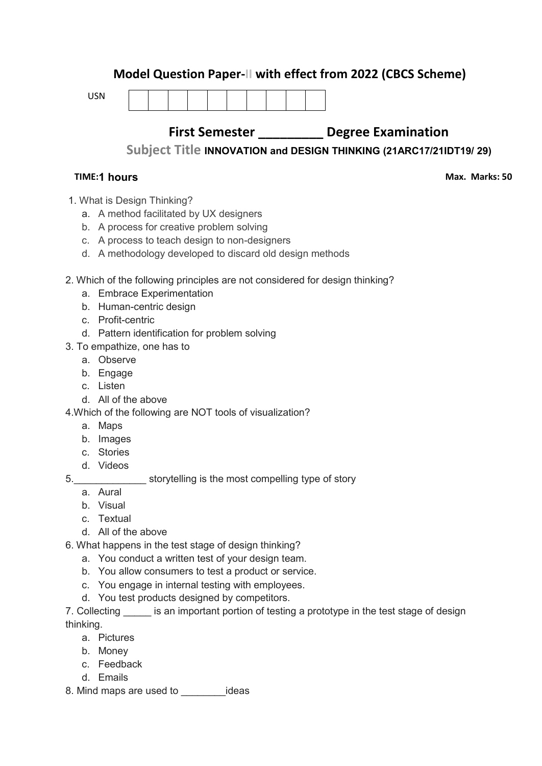# **Model Question Paper-II with effect from 2022 (CBCS Scheme)**

USN



# **First Semester \_\_\_\_\_\_\_\_\_ Degree Examination**

**Subject Title INNOVATION and DESIGN THINKING (21ARC17/21IDT19/ 29)**

## **TIME: 03 Hours 1 hours**

**Max. Marks: 50** 

- 1. What is Design Thinking?
	- a. A method facilitated by UX designers
	- b. A process for creative problem solving
	- c. A process to teach design to non-designers
	- d. A methodology developed to discard old design methods
- 2. Which of the following principles are not considered for design thinking?
	- a. Embrace Experimentation
	- b. Human-centric design
	- c. Profit-centric
	- d. Pattern identification for problem solving
- 3. To empathize, one has to
	- a. Observe
	- b. Engage
	- c. Listen
	- d. All of the above

4.Which of the following are NOT tools of visualization?

- a. Maps
- b. Images
- c. Stories
- d. Videos
- 5.\_\_\_\_\_\_\_\_\_\_\_\_\_ storytelling is the most compelling type of story
	- a. Aural
	- b. Visual
	- c. Textual
	- d. All of the above
- 6. What happens in the test stage of design thinking?
	- a. You conduct a written test of your design team.
	- b. You allow consumers to test a product or service.
	- c. You engage in internal testing with employees.
	- d. You test products designed by competitors.

7. Collecting is an important portion of testing a prototype in the test stage of design thinking.

- a. Pictures
- b. Money
- c. Feedback
- d. Emails
- 8. Mind maps are used to \_\_\_\_\_\_\_\_\_\_ideas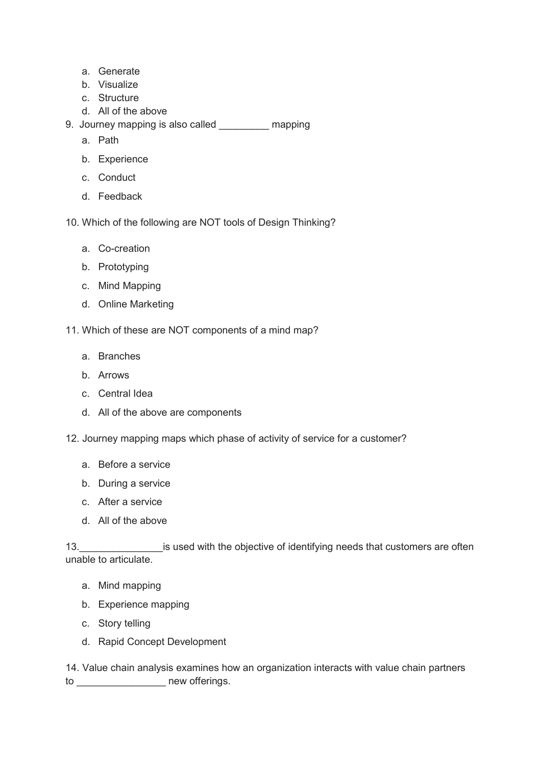- a. Generate
- b. Visualize
- c. Structure
- d. All of the above
- 9. Journey mapping is also called mapping
	- a. Path
	- b. Experience
	- c. Conduct
	- d. Feedback
- 10. Which of the following are NOT tools of Design Thinking?
	- a. Co-creation
	- b. Prototyping
	- c. Mind Mapping
	- d. Online Marketing
- 11. Which of these are NOT components of a mind map?
	- a. Branches
	- b. Arrows
	- c. Central Idea
	- d. All of the above are components
- 12. Journey mapping maps which phase of activity of service for a customer?
	- a. Before a service
	- b. During a service
	- c. After a service
	- d. All of the above

13. **Example 20** is used with the objective of identifying needs that customers are often unable to articulate.

- a. Mind mapping
- b. Experience mapping
- c. Story telling
- d. Rapid Concept Development
- 14. Value chain analysis examines how an organization interacts with value chain partners to \_\_\_\_\_\_\_\_\_\_\_\_\_\_\_\_\_\_\_\_\_ new offerings.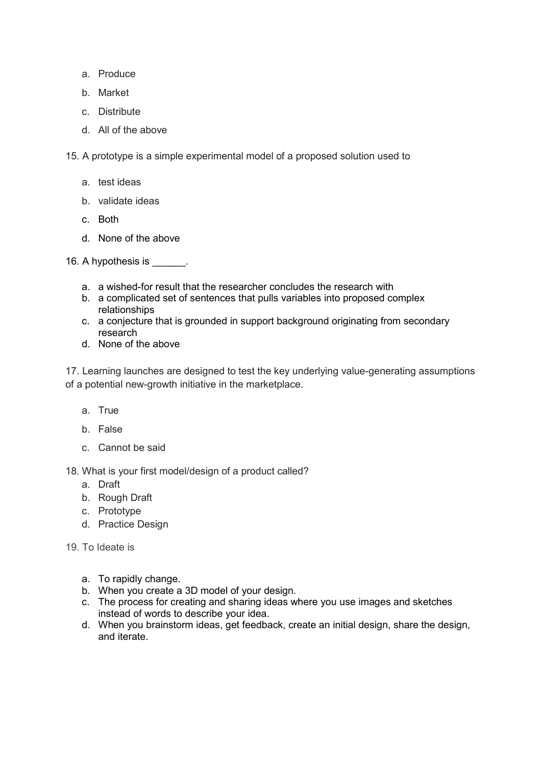- a. Produce
- b. Market
- c. Distribute
- d. All of the above

15. A prototype is a simple experimental model of a proposed solution used to

- a. test ideas
- b. validate ideas
- c. Both
- d. None of the above

16. A hypothesis is  $\qquad \qquad$ .

- a. a wished-for result that the researcher concludes the research with
- b. a complicated set of sentences that pulls variables into proposed complex relationships
- c. a conjecture that is grounded in support background originating from secondary research
- d. None of the above

17. Learning launches are designed to test the key underlying value-generating assumptions of a potential new-growth initiative in the marketplace.

- a. True
- b. False
- c. Cannot be said

18. What is your first model/design of a product called?

- a. Draft
- b. Rough Draft
- c. Prototype
- d. Practice Design
- 19. To Ideate is
	- a. To rapidly change.
	- b. When you create a 3D model of your design.
	- c. The process for creating and sharing ideas where you use images and sketches instead of words to describe your idea.
	- d. When you brainstorm ideas, get feedback, create an initial design, share the design, and iterate.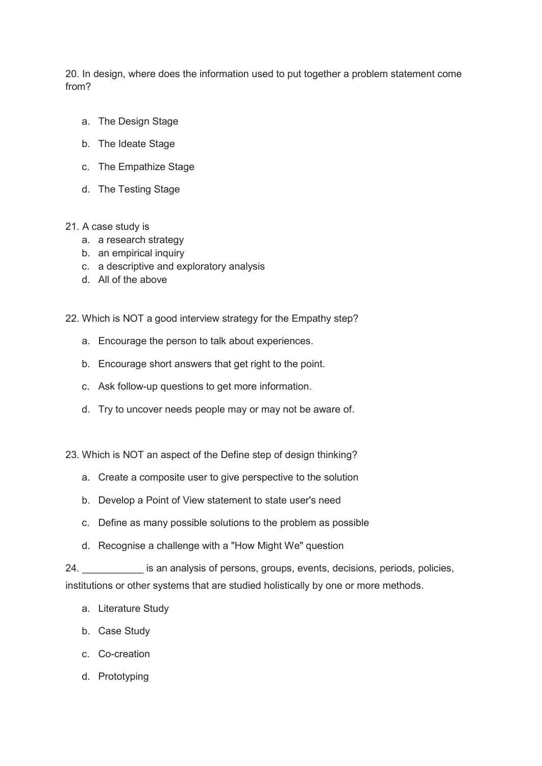20. In design, where does the information used to put together a problem statement come from?

- a. The Design Stage
- b. The Ideate Stage
- c. The Empathize Stage
- d. The Testing Stage
- 21. A case study is
	- a. a research strategy
	- b. an empirical inquiry
	- c. a descriptive and exploratory analysis
	- d. All of the above
- 22. Which is NOT a good interview strategy for the Empathy step?
	- a. Encourage the person to talk about experiences.
	- b. Encourage short answers that get right to the point.
	- c. Ask follow-up questions to get more information.
	- d. Try to uncover needs people may or may not be aware of.
- 23. Which is NOT an aspect of the Define step of design thinking?
	- a. Create a composite user to give perspective to the solution
	- b. Develop a Point of View statement to state user's need
	- c. Define as many possible solutions to the problem as possible
	- d. Recognise a challenge with a "How Might We" question

24. \_\_\_\_\_\_\_\_\_\_\_ is an analysis of persons, groups, events, decisions, periods, policies, institutions or other systems that are studied holistically by one or more methods.

- a. Literature Study
- b. Case Study
- c. Co-creation
- d. Prototyping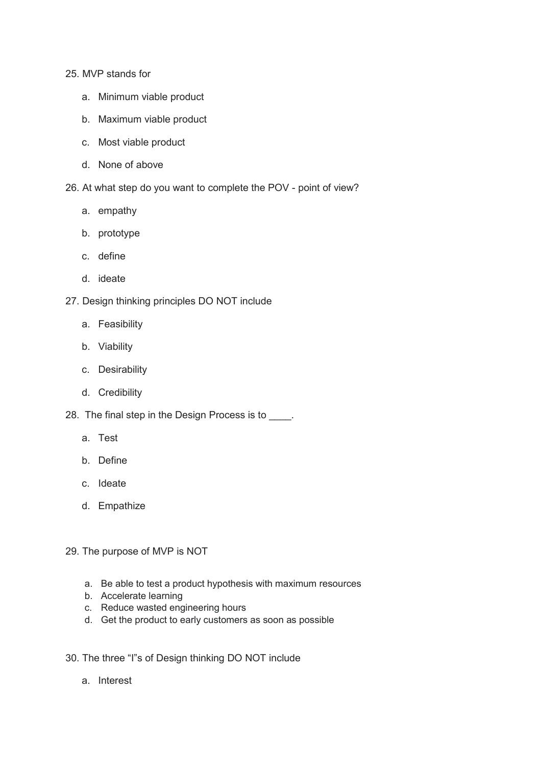#### 25. MVP stands for

- a. Minimum viable product
- b. Maximum viable product
- c. Most viable product
- d. None of above
- 26. At what step do you want to complete the POV point of view?
	- a. empathy
	- b. prototype
	- c. define
	- d. ideate
- 27. Design thinking principles DO NOT include
	- a. Feasibility
	- b. Viability
	- c. Desirability
	- d. Credibility
- 28. The final step in the Design Process is to \_\_\_\_.
	- a. Test
	- b. Define
	- c. Ideate
	- d. Empathize
- 29. The purpose of MVP is NOT
	- a. Be able to test a product hypothesis with maximum resources
	- b. Accelerate learning
	- c. Reduce wasted engineering hours
	- d. Get the product to early customers as soon as possible
- 30. The three "I"s of Design thinking DO NOT include
	- a. Interest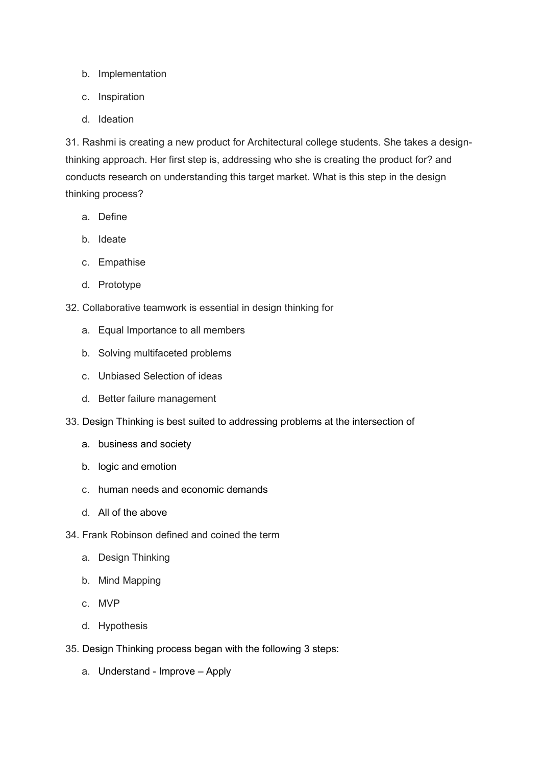- b. Implementation
- c. Inspiration
- d. Ideation

31. Rashmi is creating a new product for Architectural college students. She takes a designthinking approach. Her first step is, addressing who she is creating the product for? and conducts research on understanding this target market. What is this step in the design thinking process?

- a. Define
- b. Ideate
- c. Empathise
- d. Prototype
- 32. Collaborative teamwork is essential in design thinking for
	- a. Equal Importance to all members
	- b. Solving multifaceted problems
	- c. Unbiased Selection of ideas
	- d. Better failure management
- 33. Design Thinking is best suited to addressing problems at the intersection of
	- a. business and society
	- b. logic and emotion
	- c. human needs and economic demands
	- d. All of the above
- 34. Frank Robinson defined and coined the term
	- a. Design Thinking
	- b. Mind Mapping
	- c. MVP
	- d. Hypothesis
- 35. Design Thinking process began with the following 3 steps:
	- a. Understand Improve Apply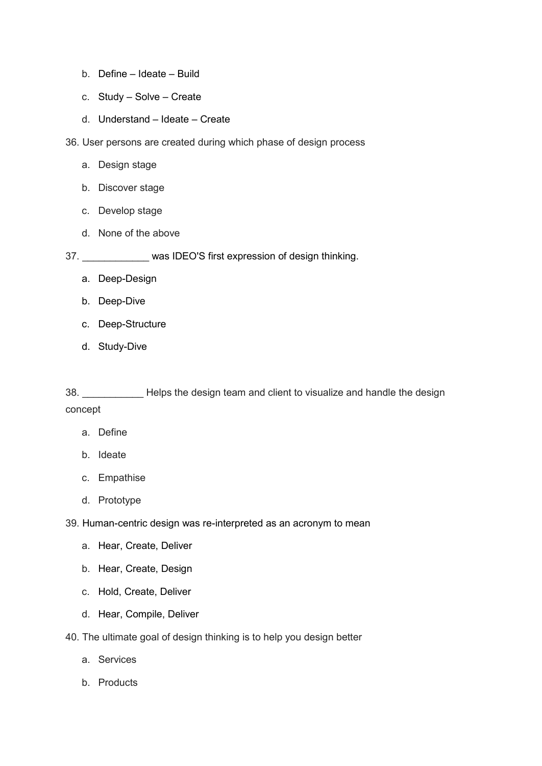- b. Define Ideate Build
- c. Study Solve Create
- d. Understand Ideate Create
- 36. User persons are created during which phase of design process
	- a. Design stage
	- b. Discover stage
	- c. Develop stage
	- d. None of the above

37. \_\_\_\_\_\_\_\_\_\_\_\_ was IDEO'S first expression of design thinking.

- a. Deep-Design
- b. Deep-Dive
- c. Deep-Structure
- d. Study-Dive

38. \_\_\_\_\_\_\_\_\_\_\_ Helps the design team and client to visualize and handle the design concept

- a. Define
- b. Ideate
- c. Empathise
- d. Prototype
- 39. Human-centric design was re-interpreted as an acronym to mean
	- a. Hear, Create, Deliver
	- b. Hear, Create, Design
	- c. Hold, Create, Deliver
	- d. Hear, Compile, Deliver
- 40. The ultimate goal of design thinking is to help you design better
	- a. Services
	- b. Products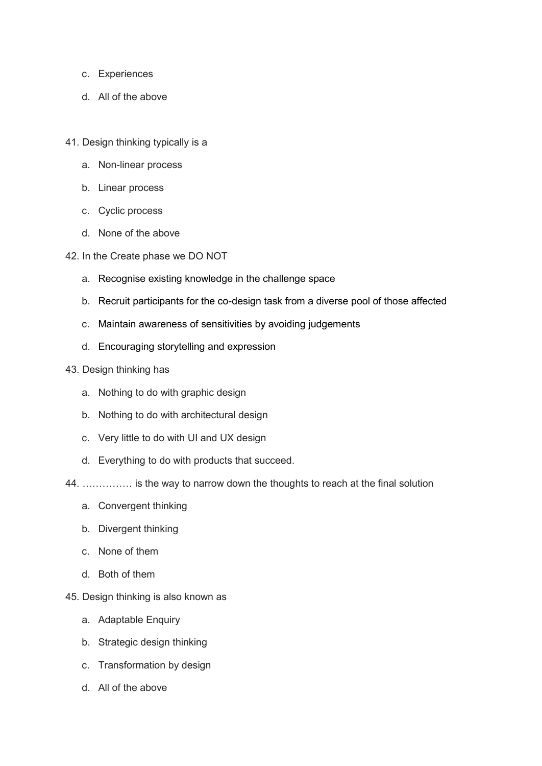- c. Experiences
- d. All of the above
- 41. Design thinking typically is a
	- a. Non-linear process
	- b. Linear process
	- c. Cyclic process
	- d. None of the above
- 42. In the Create phase we DO NOT
	- a. Recognise existing knowledge in the challenge space
	- b. Recruit participants for the co-design task from a diverse pool of those affected
	- c. Maintain awareness of sensitivities by avoiding judgements
	- d. Encouraging storytelling and expression
- 43. Design thinking has
	- a. Nothing to do with graphic design
	- b. Nothing to do with architectural design
	- c. Very little to do with UI and UX design
	- d. Everything to do with products that succeed.
- 44. …………… is the way to narrow down the thoughts to reach at the final solution
	- a. Convergent thinking
	- b. Divergent thinking
	- c. None of them
	- d. Both of them
- 45. Design thinking is also known as
	- a. Adaptable Enquiry
	- b. Strategic design thinking
	- c. Transformation by design
	- d. All of the above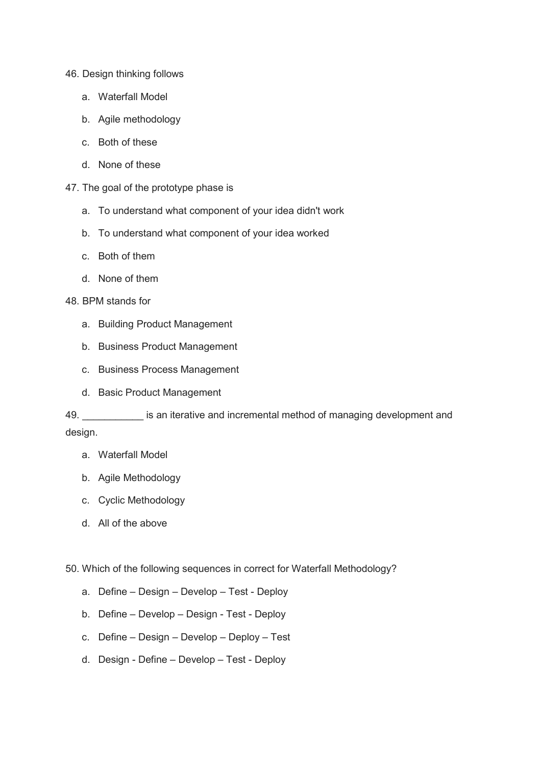#### 46. Design thinking follows

- a. Waterfall Model
- b. Agile methodology
- c. Both of these
- d. None of these
- 47. The goal of the prototype phase is
	- a. To understand what component of your idea didn't work
	- b. To understand what component of your idea worked
	- c. Both of them
	- d. None of them
- 48. BPM stands for
	- a. Building Product Management
	- b. Business Product Management
	- c. Business Process Management
	- d. Basic Product Management

49. **Example 20** is an iterative and incremental method of managing development and design.

- a. Waterfall Model
- b. Agile Methodology
- c. Cyclic Methodology
- d. All of the above

50. Which of the following sequences in correct for Waterfall Methodology?

- a. Define Design Develop Test Deploy
- b. Define Develop Design Test Deploy
- c. Define Design Develop Deploy Test
- d. Design Define Develop Test Deploy